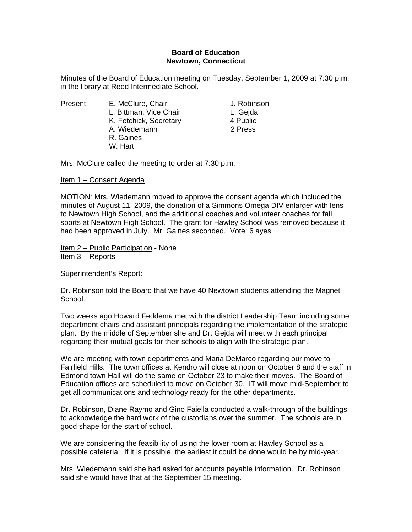## **Board of Education Newtown, Connecticut**

Minutes of the Board of Education meeting on Tuesday, September 1, 2009 at 7:30 p.m. in the library at Reed Intermediate School.

Present: E. McClure, Chair **E. McClure, Chair** J. Robinson L. Bittman, Vice Chair **L. Geida** K. Fetchick, Secretary 4 Public A. Wiedemann 2 Press R. Gaines W. Hart

Mrs. McClure called the meeting to order at 7:30 p.m.

## Item 1 – Consent Agenda

MOTION: Mrs. Wiedemann moved to approve the consent agenda which included the minutes of August 11, 2009, the donation of a Simmons Omega DIV enlarger with lens to Newtown High School, and the additional coaches and volunteer coaches for fall sports at Newtown High School. The grant for Hawley School was removed because it had been approved in July. Mr. Gaines seconded. Vote: 6 ayes

Item 2 – Public Participation - None Item 3 – Reports

Superintendent's Report:

Dr. Robinson told the Board that we have 40 Newtown students attending the Magnet School.

Two weeks ago Howard Feddema met with the district Leadership Team including some department chairs and assistant principals regarding the implementation of the strategic plan. By the middle of September she and Dr. Gejda will meet with each principal regarding their mutual goals for their schools to align with the strategic plan.

We are meeting with town departments and Maria DeMarco regarding our move to Fairfield Hills. The town offices at Kendro will close at noon on October 8 and the staff in Edmond town Hall will do the same on October 23 to make their moves. The Board of Education offices are scheduled to move on October 30. IT will move mid-September to get all communications and technology ready for the other departments.

Dr. Robinson, Diane Raymo and Gino Faiella conducted a walk-through of the buildings to acknowledge the hard work of the custodians over the summer. The schools are in good shape for the start of school.

We are considering the feasibility of using the lower room at Hawley School as a possible cafeteria. If it is possible, the earliest it could be done would be by mid-year.

Mrs. Wiedemann said she had asked for accounts payable information. Dr. Robinson said she would have that at the September 15 meeting.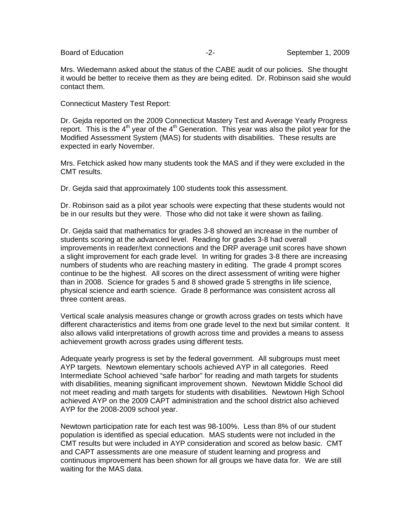Mrs. Wiedemann asked about the status of the CABE audit of our policies. She thought it would be better to receive them as they are being edited. Dr. Robinson said she would contact them.

Connecticut Mastery Test Report:

Dr. Gejda reported on the 2009 Connecticut Mastery Test and Average Yearly Progress report. This is the  $4<sup>th</sup>$  year of the  $4<sup>th</sup>$  Generation. This year was also the pilot year for the Modified Assessment System (MAS) for students with disabilities. These results are expected in early November.

Mrs. Fetchick asked how many students took the MAS and if they were excluded in the CMT results.

Dr. Gejda said that approximately 100 students took this assessment.

Dr. Robinson said as a pilot year schools were expecting that these students would not be in our results but they were. Those who did not take it were shown as failing.

Dr. Gejda said that mathematics for grades 3-8 showed an increase in the number of students scoring at the advanced level. Reading for grades 3-8 had overall improvements in reader/text connections and the DRP average unit scores have shown a slight improvement for each grade level. In writing for grades 3-8 there are increasing numbers of students who are reaching mastery in editing. The grade 4 prompt scores continue to be the highest. All scores on the direct assessment of writing were higher than in 2008. Science for grades 5 and 8 showed grade 5 strengths in life science, physical science and earth science. Grade 8 performance was consistent across all three content areas.

Vertical scale analysis measures change or growth across grades on tests which have different characteristics and items from one grade level to the next but similar content. It also allows valid interpretations of growth across time and provides a means to assess achievement growth across grades using different tests.

Adequate yearly progress is set by the federal government. All subgroups must meet AYP targets. Newtown elementary schools achieved AYP in all categories. Reed Intermediate School achieved "safe harbor" for reading and math targets for students with disabilities, meaning significant improvement shown. Newtown Middle School did not meet reading and math targets for students with disabilities. Newtown High School achieved AYP on the 2009 CAPT administration and the school district also achieved AYP for the 2008-2009 school year.

Newtown participation rate for each test was 98-100%. Less than 8% of our student population is identified as special education. MAS students were not included in the CMT results but were included in AYP consideration and scored as below basic. CMT and CAPT assessments are one measure of student learning and progress and continuous improvement has been shown for all groups we have data for. We are still waiting for the MAS data.